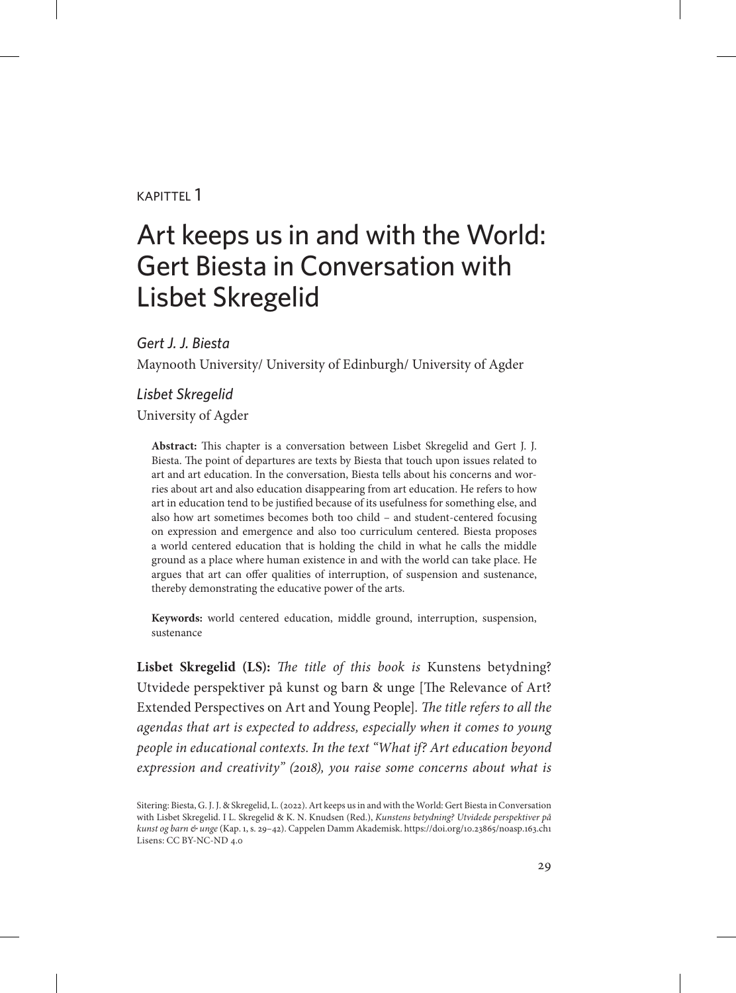### kapittel 1

# Art keeps us in and with the World: Gert Biesta in Conversation with Lisbet Skregelid

*Gert J. J. Biesta*

Maynooth University/ University of Edinburgh/ University of Agder

### *Lisbet Skregelid*

University of Agder

**Abstract:** This chapter is a conversation between Lisbet Skregelid and Gert J. J. Biesta. The point of departures are texts by Biesta that touch upon issues related to art and art education. In the conversation, Biesta tells about his concerns and worries about art and also education disappearing from art education. He refers to how art in education tend to be justified because of its usefulness for something else, and also how art sometimes becomes both too child – and student-centered focusing on expression and emergence and also too curriculum centered. Biesta proposes a world centered education that is holding the child in what he calls the middle ground as a place where human existence in and with the world can take place. He argues that art can offer qualities of interruption, of suspension and sustenance, thereby demonstrating the educative power of the arts.

**Keywords:** world centered education, middle ground, interruption, suspension, sustenance

**Lisbet Skregelid (LS):** *The title of this book is* Kunstens betydning? Utvidede perspektiver på kunst og barn & unge [The Relevance of Art? Extended Perspectives on Art and Young People]*. The title refers to all the agendas that art is expected to address, especially when it comes to young people in educational contexts. In the text "What if? Art education beyond expression and creativity" (2018), you raise some concerns about what is* 

Sitering: Biesta, G. J. J. & Skregelid, L. (2022). Art keeps us in and with the World: Gert Biesta in Conversation with Lisbet Skregelid. I L. Skregelid & K. N. Knudsen (Red.), *Kunstens betydning? Utvidede perspektiver på kunst og barn & unge* (Kap. 1, s. 29–42). Cappelen Damm Akademisk. https://doi.org/10.23865/noasp.163.ch1 Lisens: CC BY-NC-ND 4.0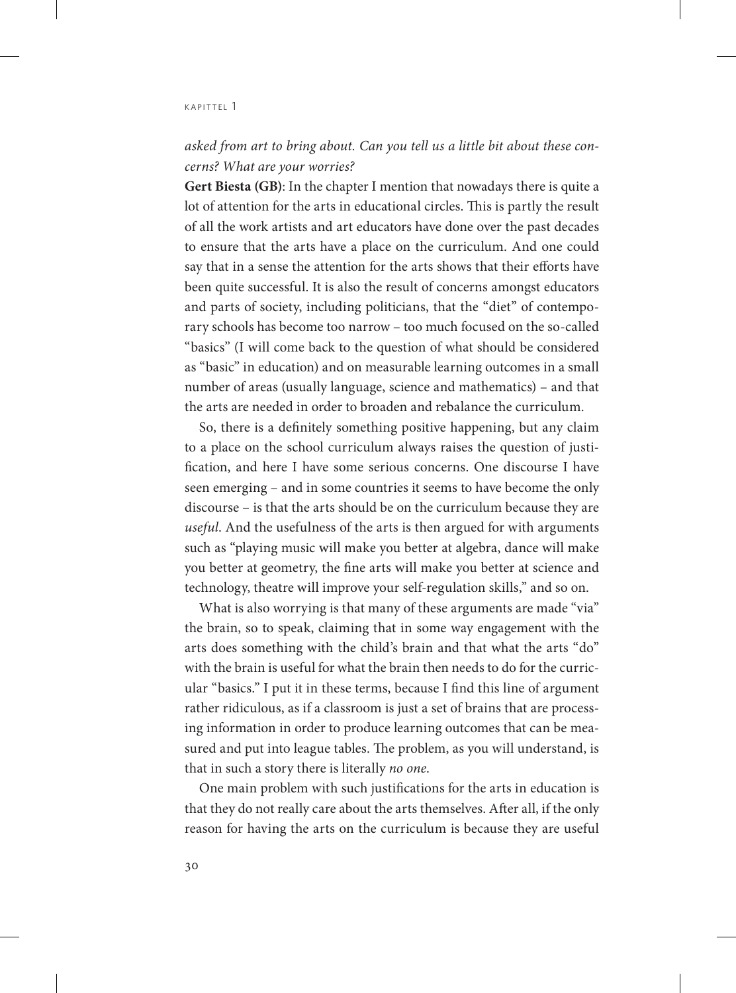### *asked from art to bring about. Can you tell us a little bit about these concerns? What are your worries?*

**Gert Biesta (GB)**: In the chapter I mention that nowadays there is quite a lot of attention for the arts in educational circles. This is partly the result of all the work artists and art educators have done over the past decades to ensure that the arts have a place on the curriculum. And one could say that in a sense the attention for the arts shows that their efforts have been quite successful. It is also the result of concerns amongst educators and parts of society, including politicians, that the "diet" of contemporary schools has become too narrow – too much focused on the so-called "basics" (I will come back to the question of what should be considered as "basic" in education) and on measurable learning outcomes in a small number of areas (usually language, science and mathematics) – and that the arts are needed in order to broaden and rebalance the curriculum.

So, there is a definitely something positive happening, but any claim to a place on the school curriculum always raises the question of justification, and here I have some serious concerns. One discourse I have seen emerging – and in some countries it seems to have become the only discourse – is that the arts should be on the curriculum because they are *useful*. And the usefulness of the arts is then argued for with arguments such as "playing music will make you better at algebra, dance will make you better at geometry, the fine arts will make you better at science and technology, theatre will improve your self-regulation skills," and so on.

What is also worrying is that many of these arguments are made "via" the brain, so to speak, claiming that in some way engagement with the arts does something with the child's brain and that what the arts "do" with the brain is useful for what the brain then needs to do for the curricular "basics." I put it in these terms, because I find this line of argument rather ridiculous, as if a classroom is just a set of brains that are processing information in order to produce learning outcomes that can be measured and put into league tables. The problem, as you will understand, is that in such a story there is literally *no one*.

One main problem with such justifications for the arts in education is that they do not really care about the arts themselves. After all, if the only reason for having the arts on the curriculum is because they are useful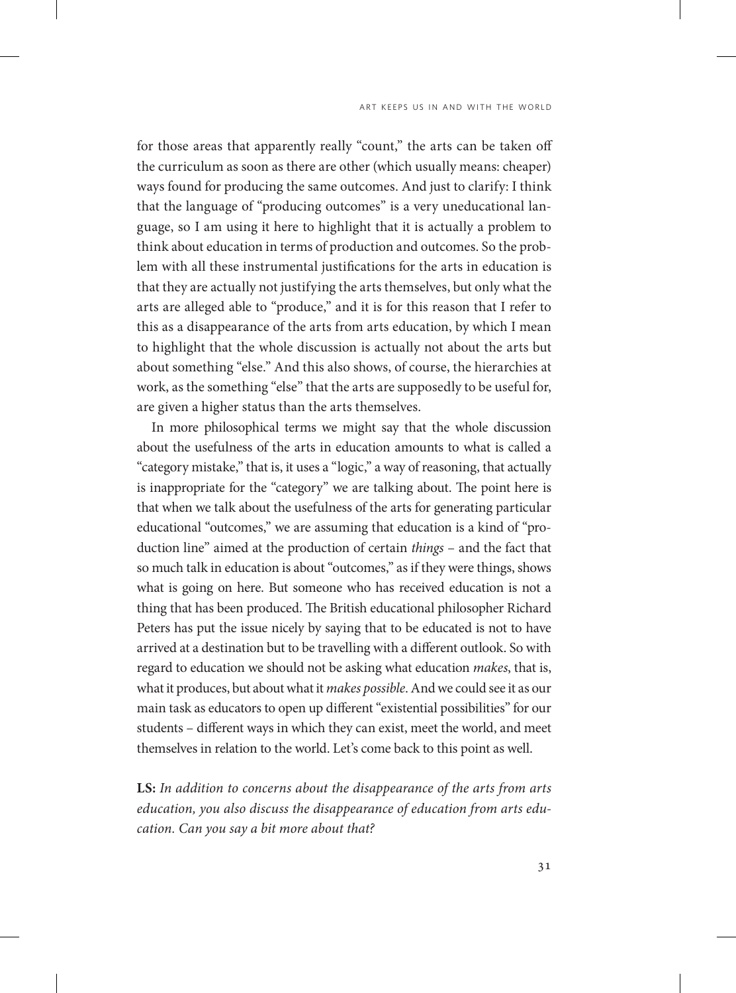for those areas that apparently really "count," the arts can be taken off the curriculum as soon as there are other (which usually means: cheaper) ways found for producing the same outcomes. And just to clarify: I think that the language of "producing outcomes" is a very uneducational language, so I am using it here to highlight that it is actually a problem to think about education in terms of production and outcomes. So the problem with all these instrumental justifications for the arts in education is that they are actually not justifying the arts themselves, but only what the arts are alleged able to "produce," and it is for this reason that I refer to this as a disappearance of the arts from arts education, by which I mean to highlight that the whole discussion is actually not about the arts but about something "else." And this also shows, of course, the hierarchies at work, as the something "else" that the arts are supposedly to be useful for, are given a higher status than the arts themselves.

In more philosophical terms we might say that the whole discussion about the usefulness of the arts in education amounts to what is called a "category mistake," that is, it uses a "logic," a way of reasoning, that actually is inappropriate for the "category" we are talking about. The point here is that when we talk about the usefulness of the arts for generating particular educational "outcomes," we are assuming that education is a kind of "production line" aimed at the production of certain *things* – and the fact that so much talk in education is about "outcomes," as if they were things, shows what is going on here. But someone who has received education is not a thing that has been produced. The British educational philosopher Richard Peters has put the issue nicely by saying that to be educated is not to have arrived at a destination but to be travelling with a different outlook. So with regard to education we should not be asking what education *makes*, that is, what it produces, but about what it *makes possible*. And we could see it as our main task as educators to open up different "existential possibilities" for our students – different ways in which they can exist, meet the world, and meet themselves in relation to the world. Let's come back to this point as well.

**LS:** *In addition to concerns about the disappearance of the arts from arts education, you also discuss the disappearance of education from arts education. Can you say a bit more about that?*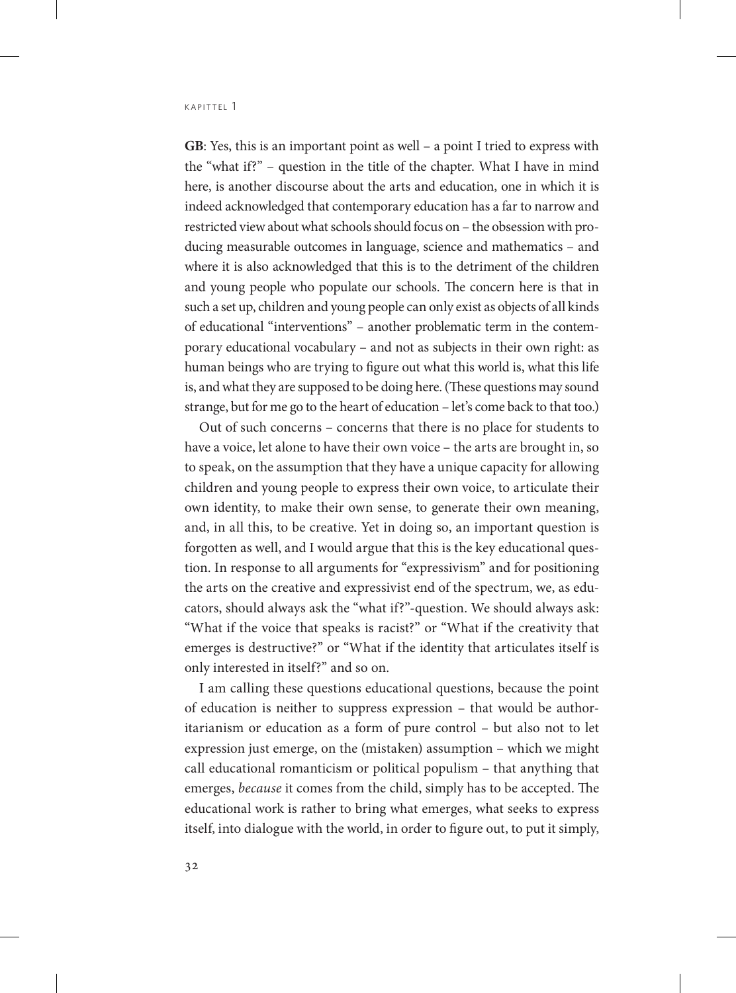**GB**: Yes, this is an important point as well – a point I tried to express with the "what if?" – question in the title of the chapter. What I have in mind here, is another discourse about the arts and education, one in which it is indeed acknowledged that contemporary education has a far to narrow and restricted view about what schools should focus on – the obsession with producing measurable outcomes in language, science and mathematics – and where it is also acknowledged that this is to the detriment of the children and young people who populate our schools. The concern here is that in such a set up, children and young people can only exist as objects of all kinds of educational "interventions" – another problematic term in the contemporary educational vocabulary – and not as subjects in their own right: as human beings who are trying to figure out what this world is, what this life is, and what they are supposed to be doing here. (These questions may sound strange, but for me go to the heart of education – let's come back to that too.)

Out of such concerns – concerns that there is no place for students to have a voice, let alone to have their own voice – the arts are brought in, so to speak, on the assumption that they have a unique capacity for allowing children and young people to express their own voice, to articulate their own identity, to make their own sense, to generate their own meaning, and, in all this, to be creative. Yet in doing so, an important question is forgotten as well, and I would argue that this is the key educational question. In response to all arguments for "expressivism" and for positioning the arts on the creative and expressivist end of the spectrum, we, as educators, should always ask the "what if?"-question. We should always ask: "What if the voice that speaks is racist?" or "What if the creativity that emerges is destructive?" or "What if the identity that articulates itself is only interested in itself?" and so on.

I am calling these questions educational questions, because the point of education is neither to suppress expression – that would be authoritarianism or education as a form of pure control – but also not to let expression just emerge, on the (mistaken) assumption – which we might call educational romanticism or political populism – that anything that emerges, *because* it comes from the child, simply has to be accepted. The educational work is rather to bring what emerges, what seeks to express itself, into dialogue with the world, in order to figure out, to put it simply,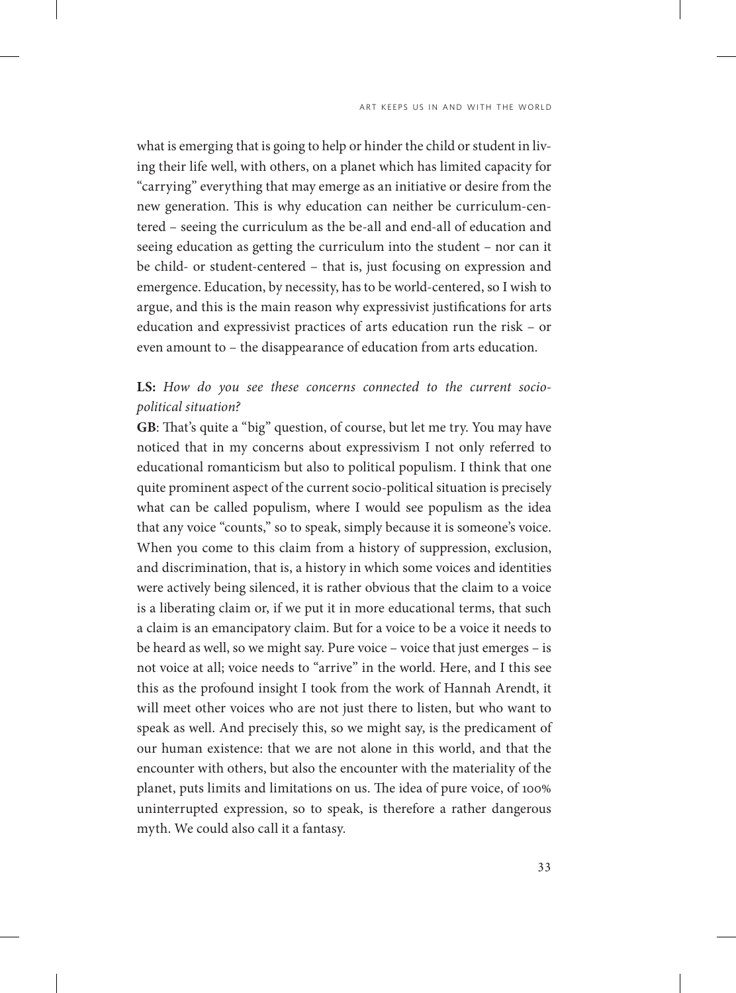what is emerging that is going to help or hinder the child or student in living their life well, with others, on a planet which has limited capacity for "carrying" everything that may emerge as an initiative or desire from the new generation. This is why education can neither be curriculum-centered – seeing the curriculum as the be-all and end-all of education and seeing education as getting the curriculum into the student – nor can it be child- or student-centered – that is, just focusing on expression and emergence. Education, by necessity, has to be world-centered, so I wish to argue, and this is the main reason why expressivist justifications for arts education and expressivist practices of arts education run the risk – or even amount to – the disappearance of education from arts education.

### **LS:** *How do you see these concerns connected to the current sociopolitical situation?*

**GB**: That's quite a "big" question, of course, but let me try. You may have noticed that in my concerns about expressivism I not only referred to educational romanticism but also to political populism. I think that one quite prominent aspect of the current socio-political situation is precisely what can be called populism, where I would see populism as the idea that any voice "counts," so to speak, simply because it is someone's voice. When you come to this claim from a history of suppression, exclusion, and discrimination, that is, a history in which some voices and identities were actively being silenced, it is rather obvious that the claim to a voice is a liberating claim or, if we put it in more educational terms, that such a claim is an emancipatory claim. But for a voice to be a voice it needs to be heard as well, so we might say. Pure voice – voice that just emerges – is not voice at all; voice needs to "arrive" in the world. Here, and I this see this as the profound insight I took from the work of Hannah Arendt, it will meet other voices who are not just there to listen, but who want to speak as well. And precisely this, so we might say, is the predicament of our human existence: that we are not alone in this world, and that the encounter with others, but also the encounter with the materiality of the planet, puts limits and limitations on us. The idea of pure voice, of 100% uninterrupted expression, so to speak, is therefore a rather dangerous myth. We could also call it a fantasy.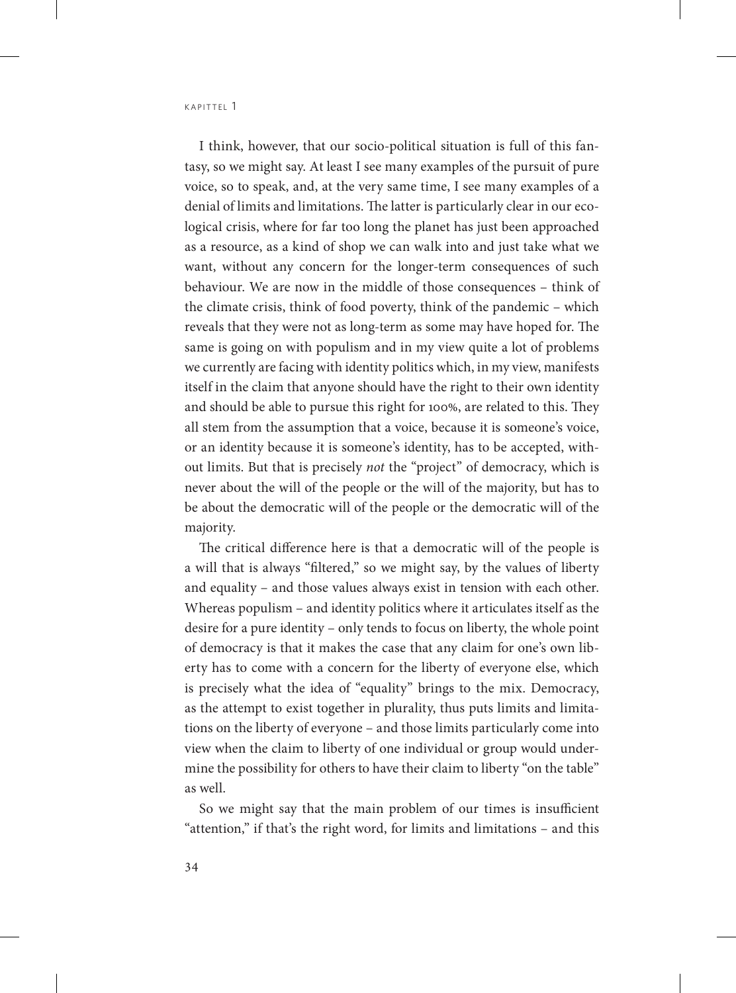I think, however, that our socio-political situation is full of this fantasy, so we might say. At least I see many examples of the pursuit of pure voice, so to speak, and, at the very same time, I see many examples of a denial of limits and limitations. The latter is particularly clear in our ecological crisis, where for far too long the planet has just been approached as a resource, as a kind of shop we can walk into and just take what we want, without any concern for the longer-term consequences of such behaviour. We are now in the middle of those consequences – think of the climate crisis, think of food poverty, think of the pandemic – which reveals that they were not as long-term as some may have hoped for. The same is going on with populism and in my view quite a lot of problems we currently are facing with identity politics which, in my view, manifests itself in the claim that anyone should have the right to their own identity and should be able to pursue this right for 100%, are related to this. They all stem from the assumption that a voice, because it is someone's voice, or an identity because it is someone's identity, has to be accepted, without limits. But that is precisely *not* the "project" of democracy, which is never about the will of the people or the will of the majority, but has to be about the democratic will of the people or the democratic will of the majority.

The critical difference here is that a democratic will of the people is a will that is always "filtered," so we might say, by the values of liberty and equality – and those values always exist in tension with each other. Whereas populism – and identity politics where it articulates itself as the desire for a pure identity – only tends to focus on liberty, the whole point of democracy is that it makes the case that any claim for one's own liberty has to come with a concern for the liberty of everyone else, which is precisely what the idea of "equality" brings to the mix. Democracy, as the attempt to exist together in plurality, thus puts limits and limitations on the liberty of everyone – and those limits particularly come into view when the claim to liberty of one individual or group would undermine the possibility for others to have their claim to liberty "on the table" as well.

So we might say that the main problem of our times is insufficient "attention," if that's the right word, for limits and limitations – and this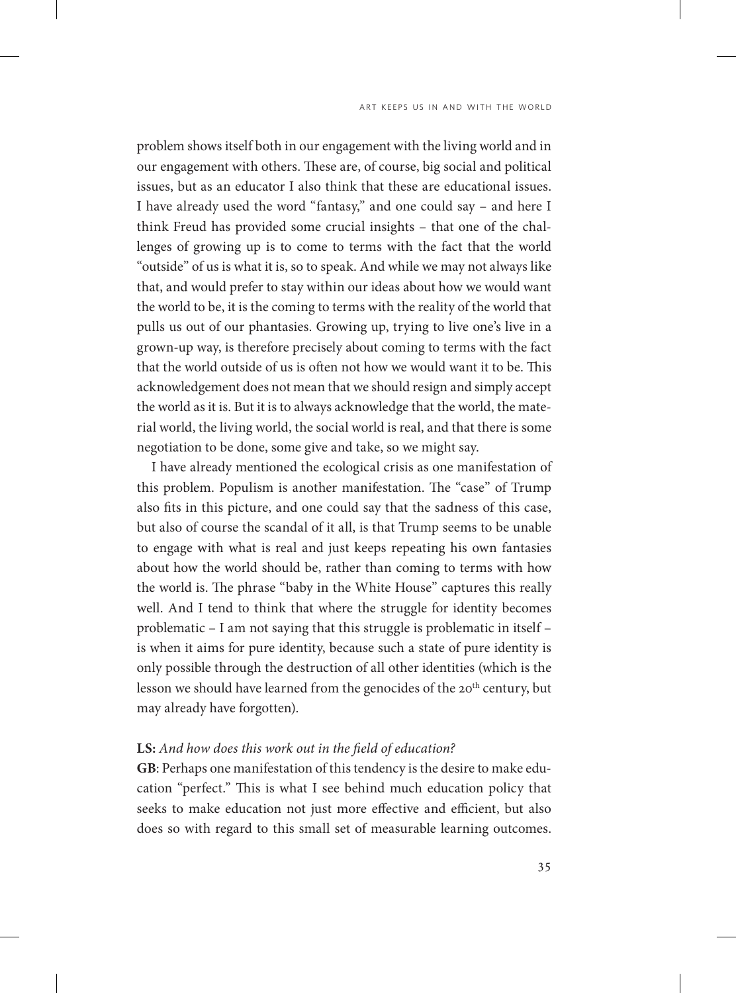problem shows itself both in our engagement with the living world and in our engagement with others. These are, of course, big social and political issues, but as an educator I also think that these are educational issues. I have already used the word "fantasy," and one could say – and here I think Freud has provided some crucial insights – that one of the challenges of growing up is to come to terms with the fact that the world "outside" of us is what it is, so to speak. And while we may not always like that, and would prefer to stay within our ideas about how we would want the world to be, it is the coming to terms with the reality of the world that pulls us out of our phantasies. Growing up, trying to live one's live in a grown-up way, is therefore precisely about coming to terms with the fact that the world outside of us is often not how we would want it to be. This acknowledgement does not mean that we should resign and simply accept the world as it is. But it is to always acknowledge that the world, the material world, the living world, the social world is real, and that there is some negotiation to be done, some give and take, so we might say.

I have already mentioned the ecological crisis as one manifestation of this problem. Populism is another manifestation. The "case" of Trump also fits in this picture, and one could say that the sadness of this case, but also of course the scandal of it all, is that Trump seems to be unable to engage with what is real and just keeps repeating his own fantasies about how the world should be, rather than coming to terms with how the world is. The phrase "baby in the White House" captures this really well. And I tend to think that where the struggle for identity becomes problematic – I am not saying that this struggle is problematic in itself – is when it aims for pure identity, because such a state of pure identity is only possible through the destruction of all other identities (which is the lesson we should have learned from the genocides of the 20<sup>th</sup> century, but may already have forgotten).

### **LS:** *And how does this work out in the field of education?*

**GB**: Perhaps one manifestation of this tendency is the desire to make education "perfect." This is what I see behind much education policy that seeks to make education not just more effective and efficient, but also does so with regard to this small set of measurable learning outcomes.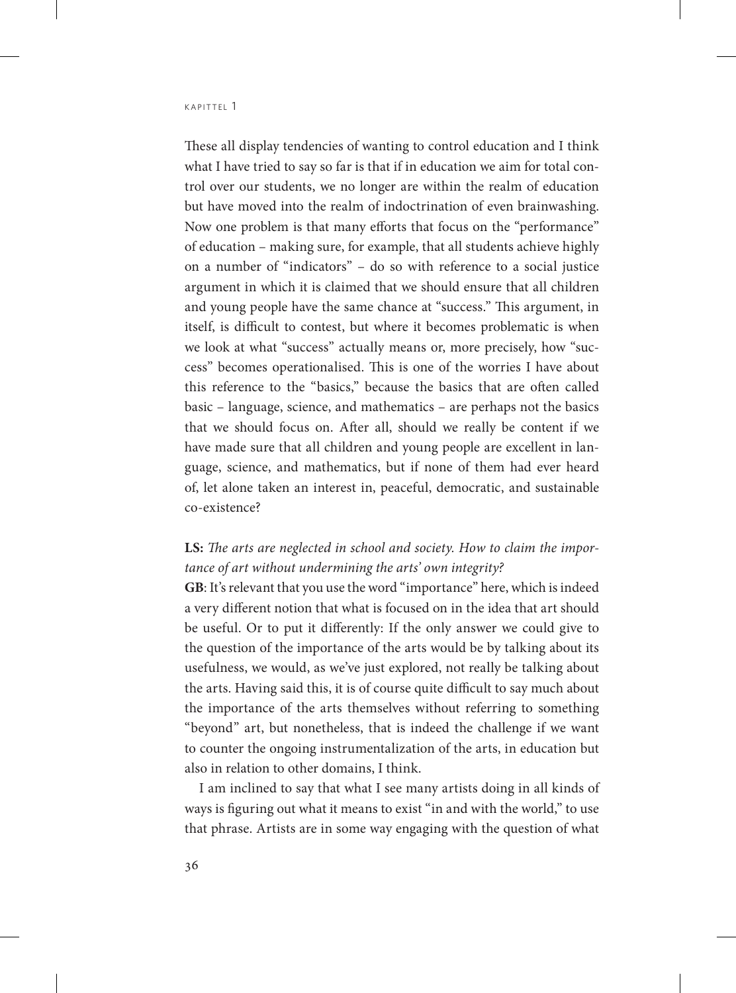These all display tendencies of wanting to control education and I think what I have tried to say so far is that if in education we aim for total control over our students, we no longer are within the realm of education but have moved into the realm of indoctrination of even brainwashing. Now one problem is that many efforts that focus on the "performance" of education – making sure, for example, that all students achieve highly on a number of "indicators" – do so with reference to a social justice argument in which it is claimed that we should ensure that all children and young people have the same chance at "success." This argument, in itself, is difficult to contest, but where it becomes problematic is when we look at what "success" actually means or, more precisely, how "success" becomes operationalised. This is one of the worries I have about this reference to the "basics," because the basics that are often called basic – language, science, and mathematics – are perhaps not the basics that we should focus on. After all, should we really be content if we have made sure that all children and young people are excellent in language, science, and mathematics, but if none of them had ever heard of, let alone taken an interest in, peaceful, democratic, and sustainable co-existence?

### **LS:** *The arts are neglected in school and society. How to claim the importance of art without undermining the arts' own integrity?*

**GB**: It's relevant that you use the word "importance" here, which is indeed a very different notion that what is focused on in the idea that art should be useful. Or to put it differently: If the only answer we could give to the question of the importance of the arts would be by talking about its usefulness, we would, as we've just explored, not really be talking about the arts. Having said this, it is of course quite difficult to say much about the importance of the arts themselves without referring to something "beyond" art, but nonetheless, that is indeed the challenge if we want to counter the ongoing instrumentalization of the arts, in education but also in relation to other domains, I think.

I am inclined to say that what I see many artists doing in all kinds of ways is figuring out what it means to exist "in and with the world," to use that phrase. Artists are in some way engaging with the question of what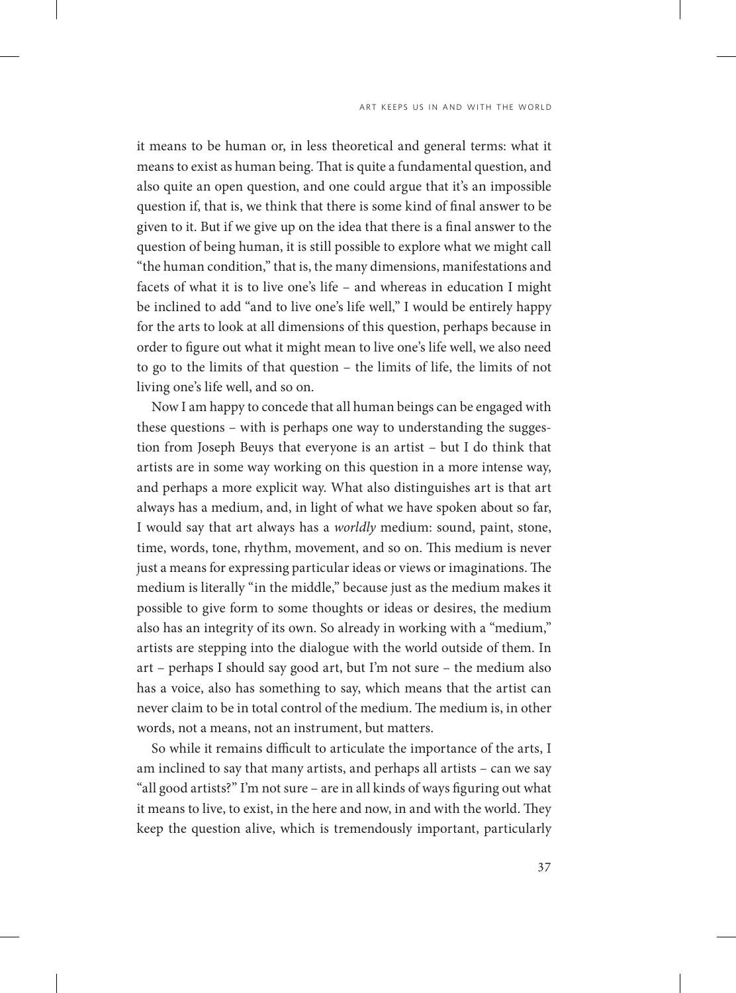it means to be human or, in less theoretical and general terms: what it means to exist as human being. That is quite a fundamental question, and also quite an open question, and one could argue that it's an impossible question if, that is, we think that there is some kind of final answer to be given to it. But if we give up on the idea that there is a final answer to the question of being human, it is still possible to explore what we might call "the human condition," that is, the many dimensions, manifestations and facets of what it is to live one's life – and whereas in education I might be inclined to add "and to live one's life well," I would be entirely happy for the arts to look at all dimensions of this question, perhaps because in order to figure out what it might mean to live one's life well, we also need to go to the limits of that question – the limits of life, the limits of not living one's life well, and so on.

Now I am happy to concede that all human beings can be engaged with these questions – with is perhaps one way to understanding the suggestion from Joseph Beuys that everyone is an artist – but I do think that artists are in some way working on this question in a more intense way, and perhaps a more explicit way. What also distinguishes art is that art always has a medium, and, in light of what we have spoken about so far, I would say that art always has a *worldly* medium: sound, paint, stone, time, words, tone, rhythm, movement, and so on. This medium is never just a means for expressing particular ideas or views or imaginations. The medium is literally "in the middle," because just as the medium makes it possible to give form to some thoughts or ideas or desires, the medium also has an integrity of its own. So already in working with a "medium," artists are stepping into the dialogue with the world outside of them. In art – perhaps I should say good art, but I'm not sure – the medium also has a voice, also has something to say, which means that the artist can never claim to be in total control of the medium. The medium is, in other words, not a means, not an instrument, but matters.

So while it remains difficult to articulate the importance of the arts, I am inclined to say that many artists, and perhaps all artists – can we say "all good artists?" I'm not sure – are in all kinds of ways figuring out what it means to live, to exist, in the here and now, in and with the world. They keep the question alive, which is tremendously important, particularly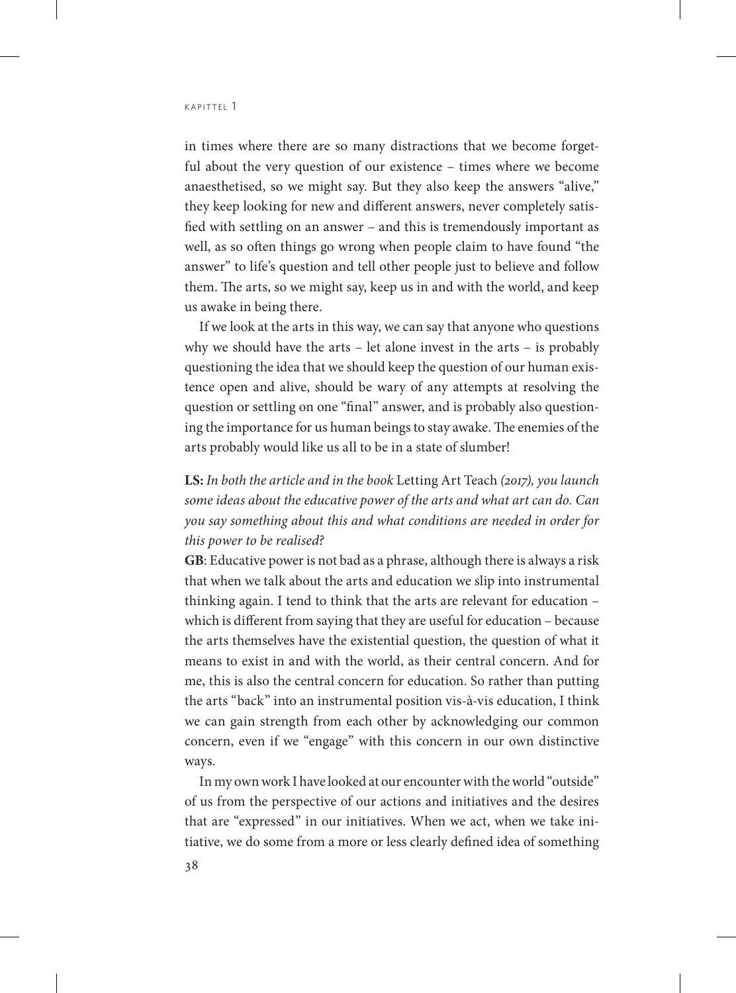in times where there are so many distractions that we become forgetful about the very question of our existence – times where we become anaesthetised, so we might say. But they also keep the answers "alive," they keep looking for new and different answers, never completely satisfied with settling on an answer – and this is tremendously important as well, as so often things go wrong when people claim to have found "the answer" to life's question and tell other people just to believe and follow them. The arts, so we might say, keep us in and with the world, and keep us awake in being there.

If we look at the arts in this way, we can say that anyone who questions why we should have the arts – let alone invest in the arts – is probably questioning the idea that we should keep the question of our human existence open and alive, should be wary of any attempts at resolving the question or settling on one "final" answer, and is probably also questioning the importance for us human beings to stay awake. The enemies of the arts probably would like us all to be in a state of slumber!

**LS:** *In both the article and in the book* Letting Art Teach *(2017), you launch some ideas about the educative power of the arts and what art can do. Can you say something about this and what conditions are needed in order for this power to be realised?*

**GB**: Educative power is not bad as a phrase, although there is always a risk that when we talk about the arts and education we slip into instrumental thinking again. I tend to think that the arts are relevant for education – which is different from saying that they are useful for education – because the arts themselves have the existential question, the question of what it means to exist in and with the world, as their central concern. And for me, this is also the central concern for education. So rather than putting the arts "back" into an instrumental position vis-à-vis education, I think we can gain strength from each other by acknowledging our common concern, even if we "engage" with this concern in our own distinctive ways.

In my own work I have looked at our encounter with the world "outside" of us from the perspective of our actions and initiatives and the desires that are "expressed" in our initiatives. When we act, when we take initiative, we do some from a more or less clearly defined idea of something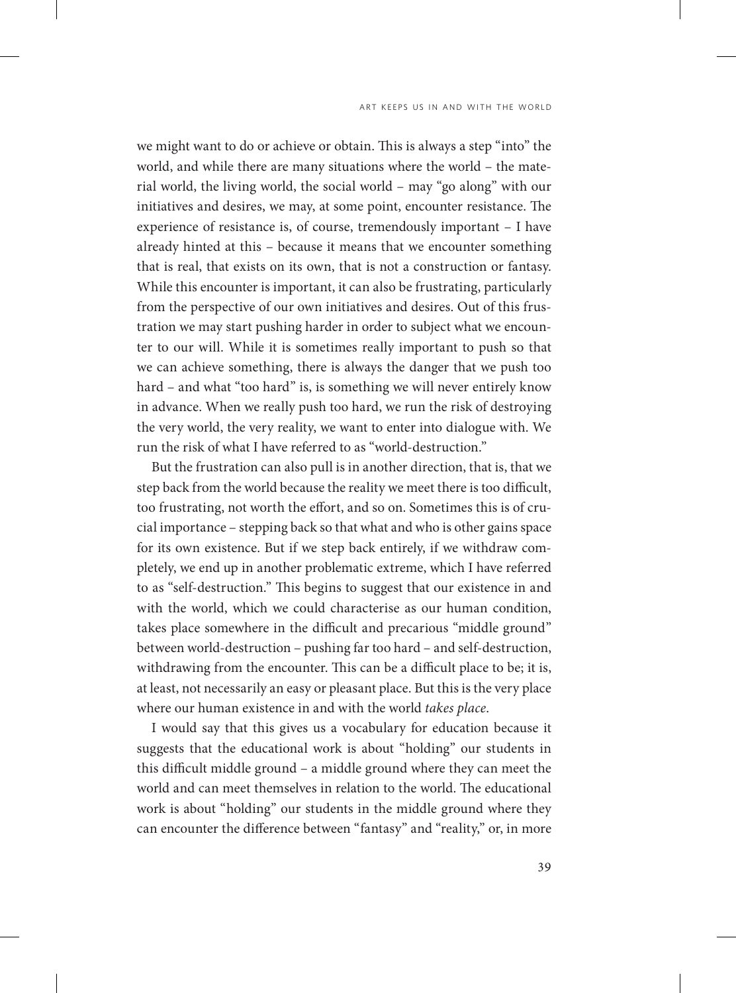we might want to do or achieve or obtain. This is always a step "into" the world, and while there are many situations where the world – the material world, the living world, the social world – may "go along" with our initiatives and desires, we may, at some point, encounter resistance. The experience of resistance is, of course, tremendously important – I have already hinted at this – because it means that we encounter something that is real, that exists on its own, that is not a construction or fantasy. While this encounter is important, it can also be frustrating, particularly from the perspective of our own initiatives and desires. Out of this frustration we may start pushing harder in order to subject what we encounter to our will. While it is sometimes really important to push so that we can achieve something, there is always the danger that we push too hard – and what "too hard" is, is something we will never entirely know in advance. When we really push too hard, we run the risk of destroying the very world, the very reality, we want to enter into dialogue with. We run the risk of what I have referred to as "world-destruction."

But the frustration can also pull is in another direction, that is, that we step back from the world because the reality we meet there is too difficult, too frustrating, not worth the effort, and so on. Sometimes this is of crucial importance – stepping back so that what and who is other gains space for its own existence. But if we step back entirely, if we withdraw completely, we end up in another problematic extreme, which I have referred to as "self-destruction." This begins to suggest that our existence in and with the world, which we could characterise as our human condition, takes place somewhere in the difficult and precarious "middle ground" between world-destruction – pushing far too hard – and self-destruction, withdrawing from the encounter. This can be a difficult place to be; it is, at least, not necessarily an easy or pleasant place. But this is the very place where our human existence in and with the world *takes place*.

I would say that this gives us a vocabulary for education because it suggests that the educational work is about "holding" our students in this difficult middle ground – a middle ground where they can meet the world and can meet themselves in relation to the world. The educational work is about "holding" our students in the middle ground where they can encounter the difference between "fantasy" and "reality," or, in more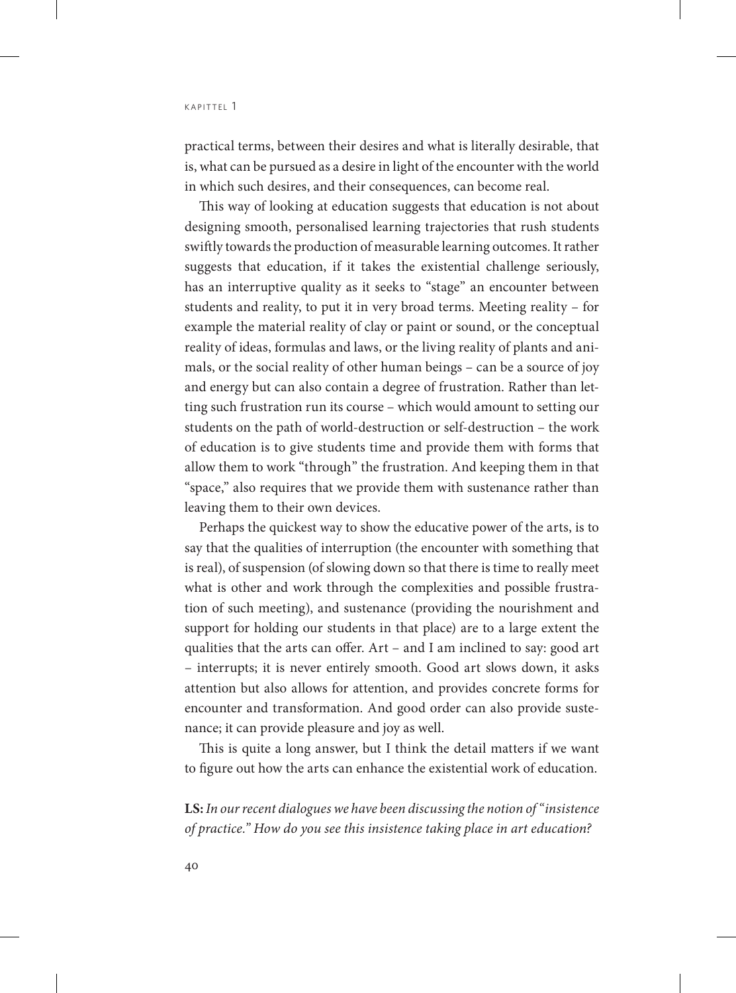practical terms, between their desires and what is literally desirable, that is, what can be pursued as a desire in light of the encounter with the world in which such desires, and their consequences, can become real.

This way of looking at education suggests that education is not about designing smooth, personalised learning trajectories that rush students swiftly towards the production of measurable learning outcomes. It rather suggests that education, if it takes the existential challenge seriously, has an interruptive quality as it seeks to "stage" an encounter between students and reality, to put it in very broad terms. Meeting reality – for example the material reality of clay or paint or sound, or the conceptual reality of ideas, formulas and laws, or the living reality of plants and animals, or the social reality of other human beings – can be a source of joy and energy but can also contain a degree of frustration. Rather than letting such frustration run its course – which would amount to setting our students on the path of world-destruction or self-destruction – the work of education is to give students time and provide them with forms that allow them to work "through" the frustration. And keeping them in that "space," also requires that we provide them with sustenance rather than leaving them to their own devices.

Perhaps the quickest way to show the educative power of the arts, is to say that the qualities of interruption (the encounter with something that is real), of suspension (of slowing down so that there is time to really meet what is other and work through the complexities and possible frustration of such meeting), and sustenance (providing the nourishment and support for holding our students in that place) are to a large extent the qualities that the arts can offer. Art – and I am inclined to say: good art – interrupts; it is never entirely smooth. Good art slows down, it asks attention but also allows for attention, and provides concrete forms for encounter and transformation. And good order can also provide sustenance; it can provide pleasure and joy as well.

This is quite a long answer, but I think the detail matters if we want to figure out how the arts can enhance the existential work of education.

**LS:** *In our recent dialogues we have been discussing the notion of "insistence of practice." How do you see this insistence taking place in art education?*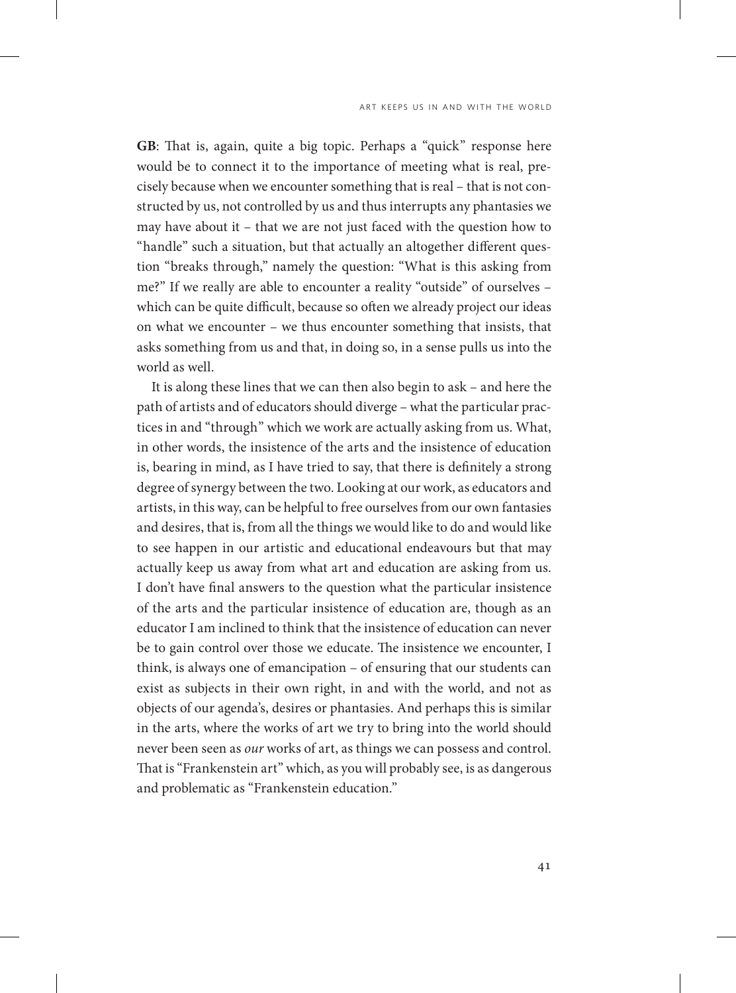**GB**: That is, again, quite a big topic. Perhaps a "quick" response here would be to connect it to the importance of meeting what is real, precisely because when we encounter something that is real – that is not constructed by us, not controlled by us and thus interrupts any phantasies we may have about it – that we are not just faced with the question how to "handle" such a situation, but that actually an altogether different question "breaks through," namely the question: "What is this asking from me?" If we really are able to encounter a reality "outside" of ourselves – which can be quite difficult, because so often we already project our ideas on what we encounter – we thus encounter something that insists, that asks something from us and that, in doing so, in a sense pulls us into the world as well.

It is along these lines that we can then also begin to ask – and here the path of artists and of educators should diverge – what the particular practices in and "through" which we work are actually asking from us. What, in other words, the insistence of the arts and the insistence of education is, bearing in mind, as I have tried to say, that there is definitely a strong degree of synergy between the two. Looking at our work, as educators and artists, in this way, can be helpful to free ourselves from our own fantasies and desires, that is, from all the things we would like to do and would like to see happen in our artistic and educational endeavours but that may actually keep us away from what art and education are asking from us. I don't have final answers to the question what the particular insistence of the arts and the particular insistence of education are, though as an educator I am inclined to think that the insistence of education can never be to gain control over those we educate. The insistence we encounter, I think, is always one of emancipation – of ensuring that our students can exist as subjects in their own right, in and with the world, and not as objects of our agenda's, desires or phantasies. And perhaps this is similar in the arts, where the works of art we try to bring into the world should never been seen as *our* works of art, as things we can possess and control. That is "Frankenstein art" which, as you will probably see, is as dangerous and problematic as "Frankenstein education."